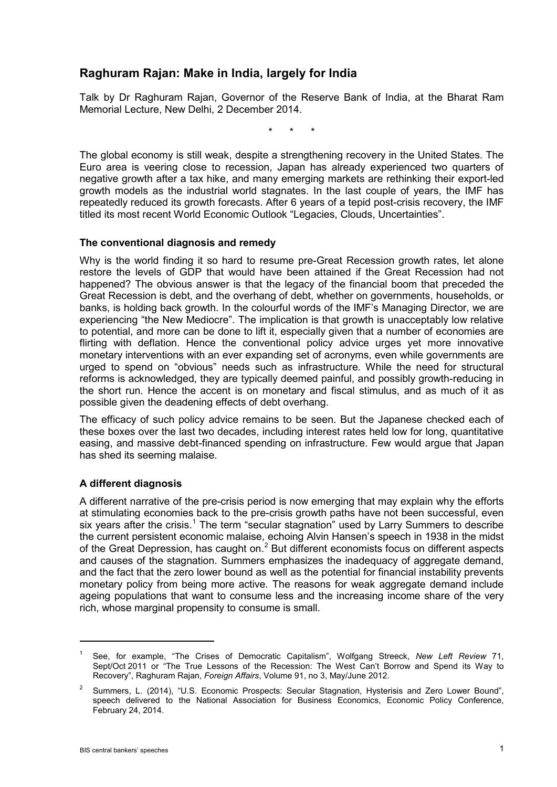# **Raghuram Rajan: Make in India, largely for India**

Talk by Dr Raghuram Rajan, Governor of the Reserve Bank of India, at the Bharat Ram Memorial Lecture, New Delhi, 2 December 2014.

\* \* \*

The global economy is still weak, despite a strengthening recovery in the United States. The Euro area is veering close to recession, Japan has already experienced two quarters of negative growth after a tax hike, and many emerging markets are rethinking their export-led growth models as the industrial world stagnates. In the last couple of years, the IMF has repeatedly reduced its growth forecasts. After 6 years of a tepid post-crisis recovery, the IMF titled its most recent World Economic Outlook "Legacies, Clouds, Uncertainties".

#### **The conventional diagnosis and remedy**

Why is the world finding it so hard to resume pre-Great Recession growth rates, let alone restore the levels of GDP that would have been attained if the Great Recession had not happened? The obvious answer is that the legacy of the financial boom that preceded the Great Recession is debt, and the overhang of debt, whether on governments, households, or banks, is holding back growth. In the colourful words of the IMF's Managing Director, we are experiencing "the New Mediocre". The implication is that growth is unacceptably low relative to potential, and more can be done to lift it, especially given that a number of economies are flirting with deflation. Hence the conventional policy advice urges yet more innovative monetary interventions with an ever expanding set of acronyms, even while governments are urged to spend on "obvious" needs such as infrastructure. While the need for structural reforms is acknowledged, they are typically deemed painful, and possibly growth-reducing in the short run. Hence the accent is on monetary and fiscal stimulus, and as much of it as possible given the deadening effects of debt overhang.

The efficacy of such policy advice remains to be seen. But the Japanese checked each of these boxes over the last two decades, including interest rates held low for long, quantitative easing, and massive debt-financed spending on infrastructure. Few would argue that Japan has shed its seeming malaise.

## **A different diagnosis**

A different narrative of the pre-crisis period is now emerging that may explain why the efforts at stimulating economies back to the pre-crisis growth paths have not been successful, even six years after the crisis.<sup>[1](#page-0-0)</sup> The term "secular stagnation" used by Larry Summers to describe the current persistent economic malaise, echoing Alvin Hansen's speech in 1938 in the midst of the Great Depression, has caught on. $<sup>2</sup>$  $<sup>2</sup>$  $<sup>2</sup>$  But different economists focus on different aspects</sup> and causes of the stagnation. Summers emphasizes the inadequacy of aggregate demand, and the fact that the zero lower bound as well as the potential for financial instability prevents monetary policy from being more active. The reasons for weak aggregate demand include ageing populations that want to consume less and the increasing income share of the very rich, whose marginal propensity to consume is small.

-

<span id="page-0-0"></span><sup>1</sup> See, for example, "The Crises of Democratic Capitalism", Wolfgang Streeck, *New Left Review* 71, Sept/Oct 2011 or "The True Lessons of the Recession: The West Can't Borrow and Spend its Way to Recovery", Raghuram Rajan, *Foreign Affairs*, Volume 91, no 3, May/June 2012.

<span id="page-0-1"></span><sup>2</sup> Summers, L. (2014), "U.S. Economic Prospects: Secular Stagnation, Hysterisis and Zero Lower Bound", speech delivered to the National Association for Business Economics, Economic Policy Conference, February 24, 2014.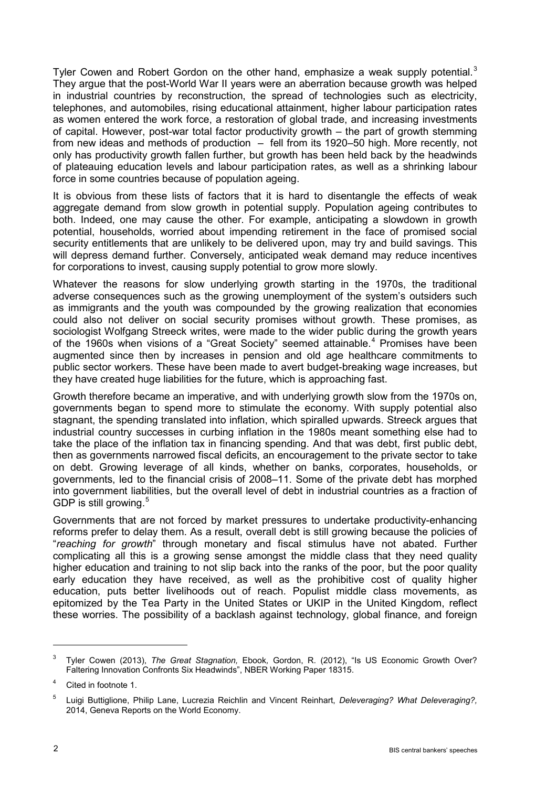Tyler Cowen and Robert Gordon on the other hand, emphasize a weak supply potential.<sup>[3](#page-1-0)</sup> They argue that the post-World War II years were an aberration because growth was helped in industrial countries by reconstruction, the spread of technologies such as electricity, telephones, and automobiles, rising educational attainment, higher labour participation rates as women entered the work force, a restoration of global trade, and increasing investments of capital. However, post-war total factor productivity growth – the part of growth stemming from new ideas and methods of production – fell from its 1920–50 high. More recently, not only has productivity growth fallen further, but growth has been held back by the headwinds of plateauing education levels and labour participation rates, as well as a shrinking labour force in some countries because of population ageing.

It is obvious from these lists of factors that it is hard to disentangle the effects of weak aggregate demand from slow growth in potential supply. Population ageing contributes to both. Indeed, one may cause the other. For example, anticipating a slowdown in growth potential, households, worried about impending retirement in the face of promised social security entitlements that are unlikely to be delivered upon, may try and build savings. This will depress demand further. Conversely, anticipated weak demand may reduce incentives for corporations to invest, causing supply potential to grow more slowly.

Whatever the reasons for slow underlying growth starting in the 1970s, the traditional adverse consequences such as the growing unemployment of the system's outsiders such as immigrants and the youth was compounded by the growing realization that economies could also not deliver on social security promises without growth. These promises, as sociologist Wolfgang Streeck writes, were made to the wider public during the growth years of the 1960s when visions of a "Great Society" seemed attainable.[4](#page-1-1) Promises have been augmented since then by increases in pension and old age healthcare commitments to public sector workers. These have been made to avert budget-breaking wage increases, but they have created huge liabilities for the future, which is approaching fast.

Growth therefore became an imperative, and with underlying growth slow from the 1970s on, governments began to spend more to stimulate the economy. With supply potential also stagnant, the spending translated into inflation, which spiralled upwards. Streeck argues that industrial country successes in curbing inflation in the 1980s meant something else had to take the place of the inflation tax in financing spending. And that was debt, first public debt, then as governments narrowed fiscal deficits, an encouragement to the private sector to take on debt. Growing leverage of all kinds, whether on banks, corporates, households, or governments, led to the financial crisis of 2008–11. Some of the private debt has morphed into government liabilities, but the overall level of debt in industrial countries as a fraction of GDP is still growing. $5$ 

Governments that are not forced by market pressures to undertake productivity-enhancing reforms prefer to delay them. As a result, overall debt is still growing because the policies of "*reaching for growth*" through monetary and fiscal stimulus have not abated. Further complicating all this is a growing sense amongst the middle class that they need quality higher education and training to not slip back into the ranks of the poor, but the poor quality early education they have received, as well as the prohibitive cost of quality higher education, puts better livelihoods out of reach. Populist middle class movements, as epitomized by the Tea Party in the United States or UKIP in the United Kingdom, reflect these worries. The possibility of a backlash against technology, global finance, and foreign

-

<span id="page-1-0"></span><sup>3</sup> Tyler Cowen (2013), *The Great Stagnation,* Ebook*,* Gordon, R. (2012), "Is US Economic Growth Over? Faltering Innovation Confronts Six Headwinds", NBER Working Paper 18315.

<span id="page-1-1"></span>Cited in footnote 1.

<span id="page-1-2"></span><sup>5</sup> Luigi Buttiglione, Philip Lane, Lucrezia Reichlin and Vincent Reinhart, *Deleveraging? What Deleveraging?,*  2014, Geneva Reports on the World Economy.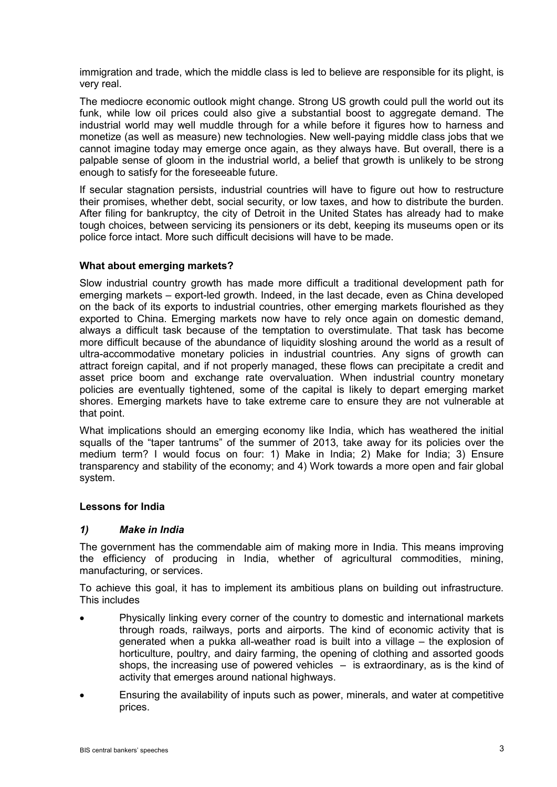immigration and trade, which the middle class is led to believe are responsible for its plight, is very real.

The mediocre economic outlook might change. Strong US growth could pull the world out its funk, while low oil prices could also give a substantial boost to aggregate demand. The industrial world may well muddle through for a while before it figures how to harness and monetize (as well as measure) new technologies. New well-paying middle class jobs that we cannot imagine today may emerge once again, as they always have. But overall, there is a palpable sense of gloom in the industrial world, a belief that growth is unlikely to be strong enough to satisfy for the foreseeable future.

If secular stagnation persists, industrial countries will have to figure out how to restructure their promises, whether debt, social security, or low taxes, and how to distribute the burden. After filing for bankruptcy, the city of Detroit in the United States has already had to make tough choices, between servicing its pensioners or its debt, keeping its museums open or its police force intact. More such difficult decisions will have to be made.

## **What about emerging markets?**

Slow industrial country growth has made more difficult a traditional development path for emerging markets – export-led growth. Indeed, in the last decade, even as China developed on the back of its exports to industrial countries, other emerging markets flourished as they exported to China. Emerging markets now have to rely once again on domestic demand, always a difficult task because of the temptation to overstimulate. That task has become more difficult because of the abundance of liquidity sloshing around the world as a result of ultra-accommodative monetary policies in industrial countries. Any signs of growth can attract foreign capital, and if not properly managed, these flows can precipitate a credit and asset price boom and exchange rate overvaluation. When industrial country monetary policies are eventually tightened, some of the capital is likely to depart emerging market shores. Emerging markets have to take extreme care to ensure they are not vulnerable at that point.

What implications should an emerging economy like India, which has weathered the initial squalls of the "taper tantrums" of the summer of 2013, take away for its policies over the medium term? I would focus on four: 1) Make in India; 2) Make for India; 3) Ensure transparency and stability of the economy; and 4) Work towards a more open and fair global system.

## **Lessons for India**

## *1) Make in India*

The government has the commendable aim of making more in India. This means improving the efficiency of producing in India, whether of agricultural commodities, mining, manufacturing, or services.

To achieve this goal, it has to implement its ambitious plans on building out infrastructure. This includes

- Physically linking every corner of the country to domestic and international markets through roads, railways, ports and airports. The kind of economic activity that is generated when a pukka all-weather road is built into a village – the explosion of horticulture, poultry, and dairy farming, the opening of clothing and assorted goods shops, the increasing use of powered vehicles  $-$  is extraordinary, as is the kind of activity that emerges around national highways.
- Ensuring the availability of inputs such as power, minerals, and water at competitive prices.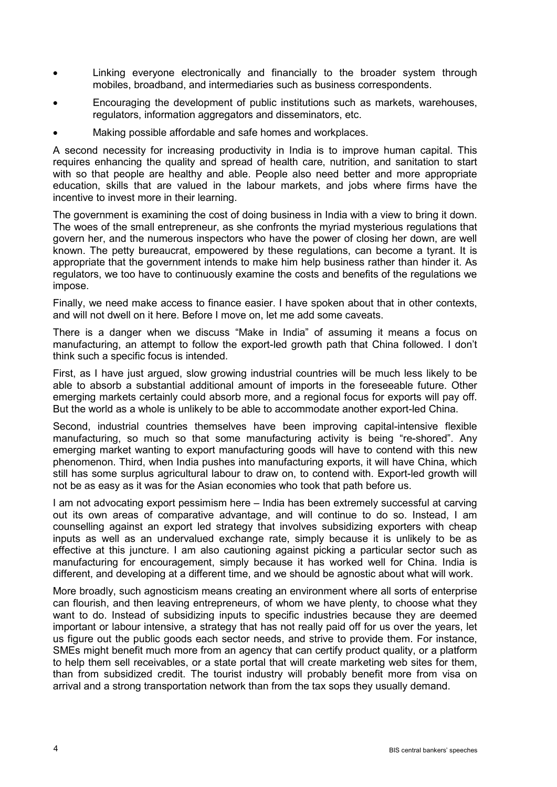- Linking everyone electronically and financially to the broader system through mobiles, broadband, and intermediaries such as business correspondents.
- Encouraging the development of public institutions such as markets, warehouses, regulators, information aggregators and disseminators, etc.
- Making possible affordable and safe homes and workplaces.

A second necessity for increasing productivity in India is to improve human capital. This requires enhancing the quality and spread of health care, nutrition, and sanitation to start with so that people are healthy and able. People also need better and more appropriate education, skills that are valued in the labour markets, and jobs where firms have the incentive to invest more in their learning.

The government is examining the cost of doing business in India with a view to bring it down. The woes of the small entrepreneur, as she confronts the myriad mysterious regulations that govern her, and the numerous inspectors who have the power of closing her down, are well known. The petty bureaucrat, empowered by these regulations, can become a tyrant. It is appropriate that the government intends to make him help business rather than hinder it. As regulators, we too have to continuously examine the costs and benefits of the regulations we impose.

Finally, we need make access to finance easier. I have spoken about that in other contexts, and will not dwell on it here. Before I move on, let me add some caveats.

There is a danger when we discuss "Make in India" of assuming it means a focus on manufacturing, an attempt to follow the export-led growth path that China followed. I don't think such a specific focus is intended.

First, as I have just argued, slow growing industrial countries will be much less likely to be able to absorb a substantial additional amount of imports in the foreseeable future. Other emerging markets certainly could absorb more, and a regional focus for exports will pay off. But the world as a whole is unlikely to be able to accommodate another export-led China.

Second, industrial countries themselves have been improving capital-intensive flexible manufacturing, so much so that some manufacturing activity is being "re-shored". Any emerging market wanting to export manufacturing goods will have to contend with this new phenomenon. Third, when India pushes into manufacturing exports, it will have China, which still has some surplus agricultural labour to draw on, to contend with. Export-led growth will not be as easy as it was for the Asian economies who took that path before us.

I am not advocating export pessimism here – India has been extremely successful at carving out its own areas of comparative advantage, and will continue to do so. Instead, I am counselling against an export led strategy that involves subsidizing exporters with cheap inputs as well as an undervalued exchange rate, simply because it is unlikely to be as effective at this juncture. I am also cautioning against picking a particular sector such as manufacturing for encouragement, simply because it has worked well for China. India is different, and developing at a different time, and we should be agnostic about what will work.

More broadly, such agnosticism means creating an environment where all sorts of enterprise can flourish, and then leaving entrepreneurs, of whom we have plenty, to choose what they want to do. Instead of subsidizing inputs to specific industries because they are deemed important or labour intensive, a strategy that has not really paid off for us over the years, let us figure out the public goods each sector needs, and strive to provide them. For instance, SMEs might benefit much more from an agency that can certify product quality, or a platform to help them sell receivables, or a state portal that will create marketing web sites for them, than from subsidized credit. The tourist industry will probably benefit more from visa on arrival and a strong transportation network than from the tax sops they usually demand.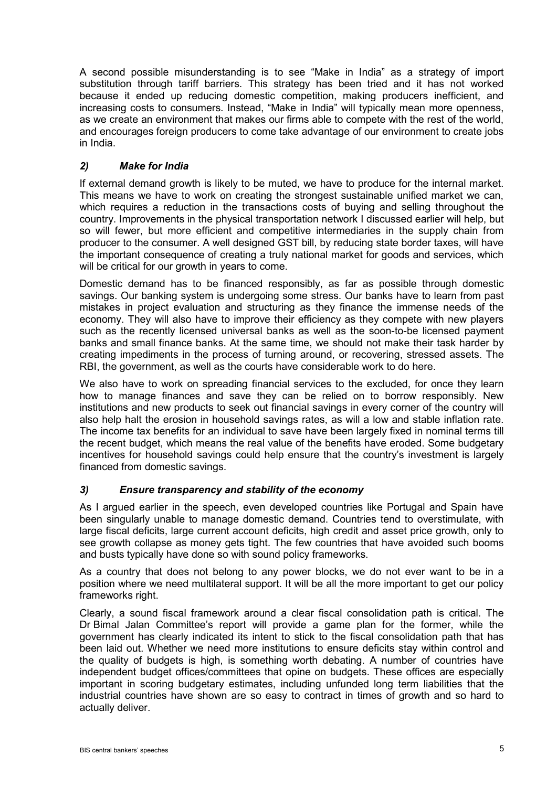A second possible misunderstanding is to see "Make in India" as a strategy of import substitution through tariff barriers. This strategy has been tried and it has not worked because it ended up reducing domestic competition, making producers inefficient, and increasing costs to consumers. Instead, "Make in India" will typically mean more openness, as we create an environment that makes our firms able to compete with the rest of the world, and encourages foreign producers to come take advantage of our environment to create jobs in India.

# *2) Make for India*

If external demand growth is likely to be muted, we have to produce for the internal market. This means we have to work on creating the strongest sustainable unified market we can, which requires a reduction in the transactions costs of buying and selling throughout the country. Improvements in the physical transportation network I discussed earlier will help, but so will fewer, but more efficient and competitive intermediaries in the supply chain from producer to the consumer. A well designed GST bill, by reducing state border taxes, will have the important consequence of creating a truly national market for goods and services, which will be critical for our growth in years to come.

Domestic demand has to be financed responsibly, as far as possible through domestic savings. Our banking system is undergoing some stress. Our banks have to learn from past mistakes in project evaluation and structuring as they finance the immense needs of the economy. They will also have to improve their efficiency as they compete with new players such as the recently licensed universal banks as well as the soon-to-be licensed payment banks and small finance banks. At the same time, we should not make their task harder by creating impediments in the process of turning around, or recovering, stressed assets. The RBI, the government, as well as the courts have considerable work to do here.

We also have to work on spreading financial services to the excluded, for once they learn how to manage finances and save they can be relied on to borrow responsibly. New institutions and new products to seek out financial savings in every corner of the country will also help halt the erosion in household savings rates, as will a low and stable inflation rate. The income tax benefits for an individual to save have been largely fixed in nominal terms till the recent budget, which means the real value of the benefits have eroded. Some budgetary incentives for household savings could help ensure that the country's investment is largely financed from domestic savings.

# *3) Ensure transparency and stability of the economy*

As I argued earlier in the speech, even developed countries like Portugal and Spain have been singularly unable to manage domestic demand. Countries tend to overstimulate, with large fiscal deficits, large current account deficits, high credit and asset price growth, only to see growth collapse as money gets tight. The few countries that have avoided such booms and busts typically have done so with sound policy frameworks.

As a country that does not belong to any power blocks, we do not ever want to be in a position where we need multilateral support. It will be all the more important to get our policy frameworks right.

Clearly, a sound fiscal framework around a clear fiscal consolidation path is critical. The Dr Bimal Jalan Committee's report will provide a game plan for the former, while the government has clearly indicated its intent to stick to the fiscal consolidation path that has been laid out. Whether we need more institutions to ensure deficits stay within control and the quality of budgets is high, is something worth debating. A number of countries have independent budget offices/committees that opine on budgets. These offices are especially important in scoring budgetary estimates, including unfunded long term liabilities that the industrial countries have shown are so easy to contract in times of growth and so hard to actually deliver.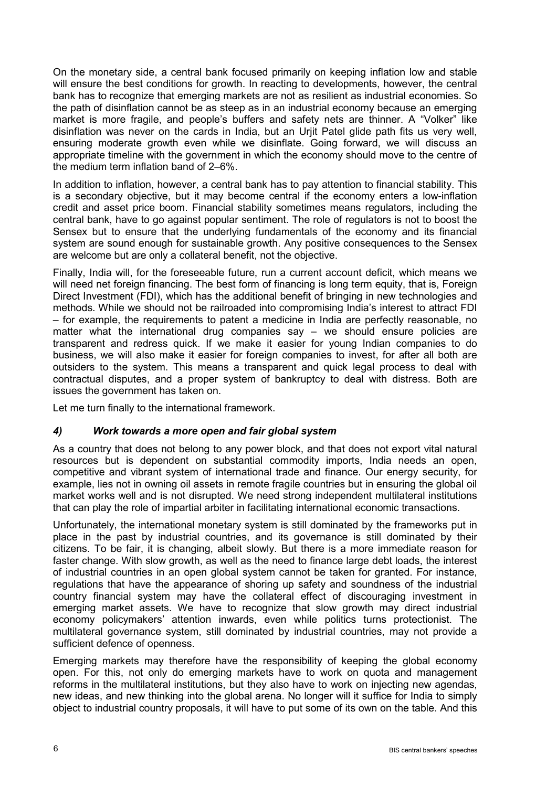On the monetary side, a central bank focused primarily on keeping inflation low and stable will ensure the best conditions for growth. In reacting to developments, however, the central bank has to recognize that emerging markets are not as resilient as industrial economies. So the path of disinflation cannot be as steep as in an industrial economy because an emerging market is more fragile, and people's buffers and safety nets are thinner. A "Volker" like disinflation was never on the cards in India, but an Urjit Patel glide path fits us very well, ensuring moderate growth even while we disinflate. Going forward, we will discuss an appropriate timeline with the government in which the economy should move to the centre of the medium term inflation band of 2–6%.

In addition to inflation, however, a central bank has to pay attention to financial stability. This is a secondary objective, but it may become central if the economy enters a low-inflation credit and asset price boom. Financial stability sometimes means regulators, including the central bank, have to go against popular sentiment. The role of regulators is not to boost the Sensex but to ensure that the underlying fundamentals of the economy and its financial system are sound enough for sustainable growth. Any positive consequences to the Sensex are welcome but are only a collateral benefit, not the objective.

Finally, India will, for the foreseeable future, run a current account deficit, which means we will need net foreign financing. The best form of financing is long term equity, that is, Foreign Direct Investment (FDI), which has the additional benefit of bringing in new technologies and methods. While we should not be railroaded into compromising India's interest to attract FDI – for example, the requirements to patent a medicine in India are perfectly reasonable, no matter what the international drug companies say – we should ensure policies are transparent and redress quick. If we make it easier for young Indian companies to do business, we will also make it easier for foreign companies to invest, for after all both are outsiders to the system. This means a transparent and quick legal process to deal with contractual disputes, and a proper system of bankruptcy to deal with distress. Both are issues the government has taken on.

Let me turn finally to the international framework.

## *4) Work towards a more open and fair global system*

As a country that does not belong to any power block, and that does not export vital natural resources but is dependent on substantial commodity imports, India needs an open, competitive and vibrant system of international trade and finance. Our energy security, for example, lies not in owning oil assets in remote fragile countries but in ensuring the global oil market works well and is not disrupted. We need strong independent multilateral institutions that can play the role of impartial arbiter in facilitating international economic transactions.

Unfortunately, the international monetary system is still dominated by the frameworks put in place in the past by industrial countries, and its governance is still dominated by their citizens. To be fair, it is changing, albeit slowly. But there is a more immediate reason for faster change. With slow growth, as well as the need to finance large debt loads, the interest of industrial countries in an open global system cannot be taken for granted. For instance, regulations that have the appearance of shoring up safety and soundness of the industrial country financial system may have the collateral effect of discouraging investment in emerging market assets. We have to recognize that slow growth may direct industrial economy policymakers' attention inwards, even while politics turns protectionist. The multilateral governance system, still dominated by industrial countries, may not provide a sufficient defence of openness.

Emerging markets may therefore have the responsibility of keeping the global economy open. For this, not only do emerging markets have to work on quota and management reforms in the multilateral institutions, but they also have to work on injecting new agendas, new ideas, and new thinking into the global arena. No longer will it suffice for India to simply object to industrial country proposals, it will have to put some of its own on the table. And this